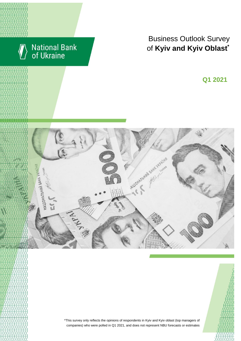

# Business Outlook Survey of Kyiv and Kyiv Oblast<sup>\*</sup>

 $\sim$  2018  $\sim$  2018  $\sim$ **Q1 2021**





\*This survey only reflects the opinions of respondents in Kyiv and Kyiv oblast (top managers of companies) who were polled in Q1 2021, and does not represent NBU forecasts or estimates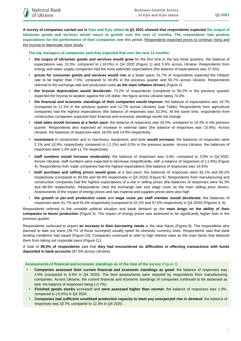**A survey of companies carried out in Kyiv and Kyiv oblast in Q1 2021 showed that respondents expected the output of Ukrainian goods and services would return to growth over the next 12 months. The respondents had positive expectations for the performance of their companies** over this period. Respondents expected prices to continue rising and the hryvnia to depreciate more slowly.

**The top managers of companies said they expected that over the next 12 months:**

- **the output of Ukrainian goods and services would grow** for the first time in the last three quarters: the balance of expectations was 10.3%, compared to (-18.0%) in Q4 2020 (Figure 1) and 5.6% across Ukraine. Respondents from energy and water supply companies had the most optimistic expectations (the balance of expectations was 37.5%)
- **prices for consumer goods and services would rise** at a faster pace**:** 51.7% of respondents expected the inflation rate to be higher than 7.5%, compared to 45.9% in the previous quarter and 50.7% across Ukraine. Respondents referred to the exchange rate and production costs **as the main inflation drivers** (Figure 2)
- **the hryvnia depreciation would decelerate:** 73.2% of respondents (compared to 90.2% in the previous quarter) expected the hryvnia to weaken against the US dollar, the figure across Ukraine being 74.4%
- **the financial and economic standings of their companies would improve:** the balance of expectations was 19.7% (compared to 11.1% in the previous quarter and 12.7% across Ukraine) (see Table). Respondents from agricultural companies had the highest expectations (the balance of responses was 33.3%). At the same time, respondents from construction companies expected their financial and economic standings would not change
- **total sales would increase at a faster pace**: the balance of responses was 24.4%, compared to 19.3% in the previous quarter. Respondents also expected an increase in external sales (the balance of responses was 15.6%). Across Ukraine, the balances of responses were 18.0% and 14.9% respectively
- **investment** in construction and in machinery, equipment, and tools **would increase:** the balances of responses were 2.1% and 10.9%, respectively compared to (-2.2%) and 6.5% in the previous quarter. Across Ukraine, the balances of responses were 1.4% and 11.7% respectively
- **staff numbers would increase moderately:** the balance of responses was 3.4%, compared to 3.8% in Q4 2020. Across Ukraine, staff numbers were expected to decrease insignificantly, with a balance of responses of (-1.9%) (Figure 4). Respondents from trade companies had the highest expectations (the balance of responses was 15.5%)
- **both purchase and selling prices would grow** at a fast pace**:** the balances of responses were 82.1% and 60.2% respectively (compared to 83.6% and 60.9% respectively in Q4 2020) (Figure 6). Respondents from manufacturing and construction companies had the highest expectations of a rise in selling prices (the balances of responses were 91.3% and 88.9% respectively). Respondents cited the exchange rate and wage costs as the main selling price drivers. Assessments of the impact of energy prices and raw material and supplies prices were also high
- **the growth in per-unit production costs** and **wage costs per staff member would decelerate:** the balances of responses were 41.7% and 54.4% respectively (compared to 52.2% and 57.6% respectively in Q4 2020) (Figures 4, 6).

Respondents referred to the unstable political situation and weak demand as the **main drags on the ability of their companies to boost production** (Figure 5). The impact of energy prices was assessed to be significantly higher than in the previous quarter.

Respondents continued to expect **an increase in their borrowing needs** in the near future (Figure 9). The respondents who planned to take out loans (39.7% of those surveyed) usually opted for domestic currency ones. Respondents said that bank lending conditions had eased (Figure 10). Companies continued to refer to high interest rates as the main factor that deterred them from taking out corporate loans (Figure 11).

A total of **98.0% of respondents** said that **they had encountered no difficulties in effecting transactions with funds deposited in bank accounts** (97.5% across Ukraine).

**Assessments of financial and economic standings as of the time of the survey** (Figure 3)

- **Companies assessed their current financial and economic standings as good:** the balance of responses was 3.9% (compared to 8.6% in Q4 2020). The best assessments were reported by respondents from manufacturing companies. Across Ukraine, the current financial and economic standings of companies continued to be assessed as bad, the balance of responses being (-0.7%).
- **Finished goods stocks** increased and **were assessed higher than normal:** the balance of responses was 1.3%, compared to (-6.6%) in Q4 2020.
- **Companies had sufficient unutilized production capacity to meet any unexpected rise in demand**: the balance of responses was 10.7%, compared to 12.3% in Q4 2020.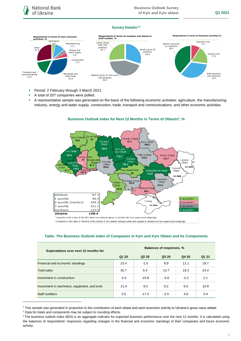#### **Survey Details1,2**



- **Period: 2 February through 3 March 2021.**
- A total of 207 companies were polled.
- A representative sample was generated on the basis of the following economic activities: agriculture, the manufacturing industry, energy and water supply, construction, trade, transport and communications, and other economic activities.



#### **Business Outlook Index for Next 12 Months in Terms of Oblasts<sup>3</sup> , %**

\*a quartile is the value of the BOI where an ordered sample is divided into four equal-sized subgroups

\*\* a median is the value of the BOI in the middle of an ordered sampled where the sample is divided into two equal-sized subgroups

#### **Table. The Business Outlook Index of Companies in Kyiv and Kyiv Oblast and Its Components**

| <b>Expectations over next 12 months for</b>   | Balances of responses, % |                               |        |        |       |
|-----------------------------------------------|--------------------------|-------------------------------|--------|--------|-------|
|                                               | Q1 20                    | Q <sub>2</sub> 2 <sub>0</sub> | Q3 20  | Q4 20  | Q1 21 |
| Financial and economic standings              | 23.4                     | $-1.0$                        | 9.9    | 11.1   | 19.7  |
| <b>Total sales</b>                            | 30.7                     | 5.4                           | 13.7   | 19.3   | 24.4  |
| Investment in construction                    | $-3.3$                   | $-15.8$                       | $-4.9$ | $-2.2$ | 2.1   |
| Investment in machinery, equipment, and tools | 11.4                     | $-9.2$                        | 9.2    | 6.5    | 10.9  |
| Staff numbers                                 | 3.5                      | $-17.3$                       | $-2.5$ | 3.8    | 3.4   |

<sup>1</sup> This sample was generated in proportion to the contribution of each oblast and each economic activity to Ukraine's gross value added.

1

<sup>&</sup>lt;sup>2</sup> Data for totals and components may be subject to rounding effects.

<sup>&</sup>lt;sup>3</sup> The business outlook index (BOI) is an aggregate indicator for expected business performance over the next 12 months. It is calculated using the balances of respondents' responses regarding changes in the financial and economic standings of their companies and future economic activity.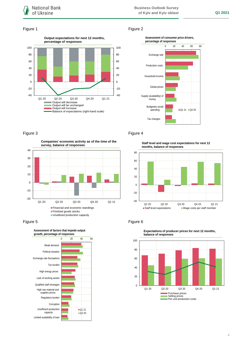#### Figure 1 Figure 2





## Figure 3 **Figure 4**



**Financial and economic standings** Finished goods stocks

**Unutilized production capacity** 





**Staff level and wage cost expectations for next 12 months, balance of responses**



#### Figure 5 **Figure 6**



**Expectations of producer prices for next 12 months, balance of responses**